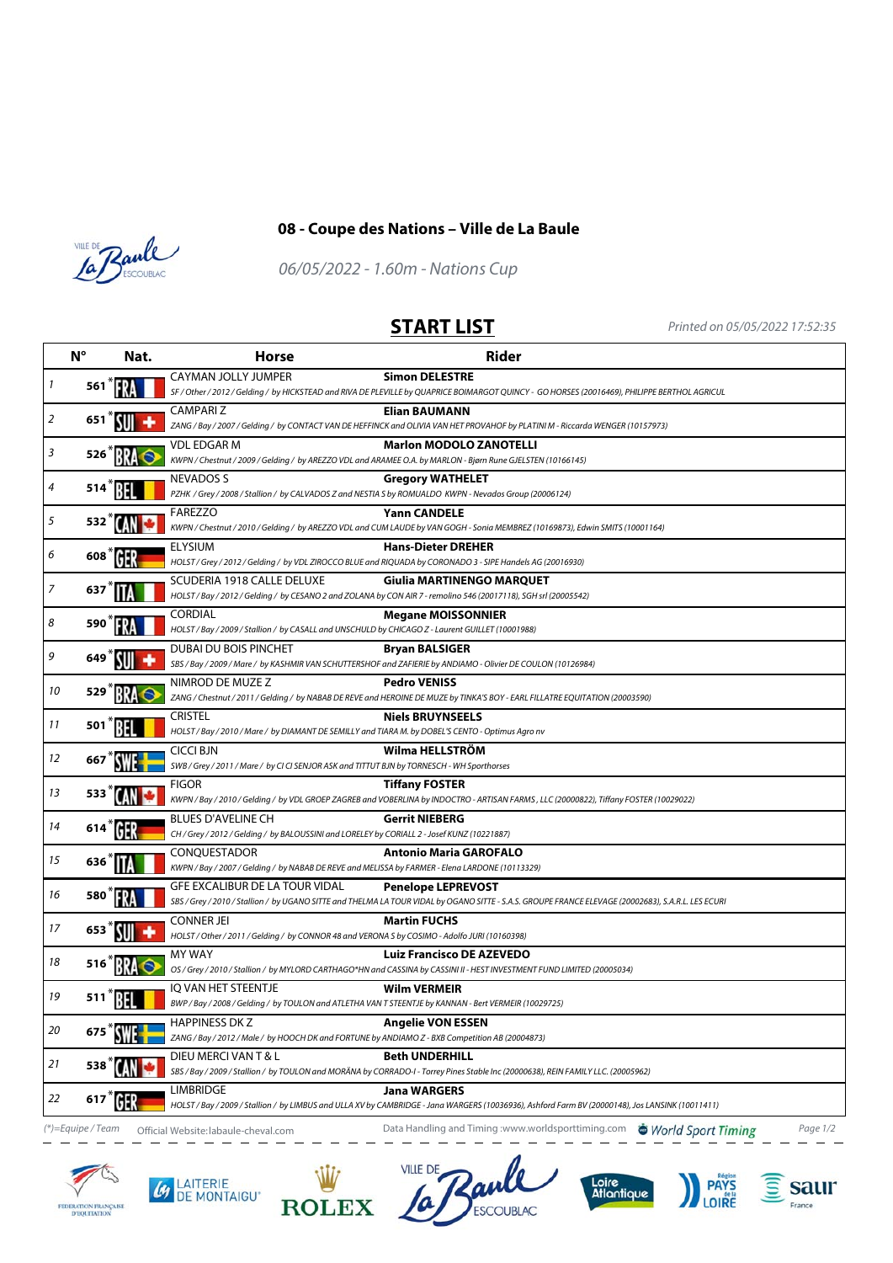



## **08 - Coupe des Nations – Ville de La Baule**

06/05/2022 - 1.60m - Nations Cup

**START LIST** Printed on 05/05/2022 17:52:35

| $N^{\circ}$       |        | Nat. | <b>Horse</b>                                                                                                                        | <b>Rider</b>                                                                                                                                                                     |
|-------------------|--------|------|-------------------------------------------------------------------------------------------------------------------------------------|----------------------------------------------------------------------------------------------------------------------------------------------------------------------------------|
| 1                 | 561    |      | CAYMAN JOLLY JUMPER                                                                                                                 | <b>Simon DELESTRE</b><br>SF / Other / 2012 / Gelding / by HICKSTEAD and RIVA DE PLEVILLE by QUAPRICE BOIMARGOT QUINCY - GO HORSES (20016469), PHILIPPE BERTHOL AGRICUL           |
| 2                 | 651    |      | <b>CAMPARIZ</b>                                                                                                                     | Elian BAUMANN<br>ZANG / Bay / 2007 / Gelding / by CONTACT VAN DE HEFFINCK and OLIVIA VAN HET PROVAHOF by PLATINI M - Riccarda WENGER (10157973)                                  |
| 3                 | 526    |      | <b>VDL EDGAR M</b>                                                                                                                  | <b>Marlon MODOLO ZANOTELLI</b><br>KWPN / Chestnut / 2009 / Gelding / by AREZZO VDL and ARAMEE O.A. by MARLON - Bjørn Rune GJELSTEN (10166145)                                    |
| 4                 | 514    |      | <b>NEVADOS S</b><br>PZHK / Grey / 2008 / Stallion / by CALVADOS Z and NESTIA S by ROMUALDO KWPN - Nevados Group (20006124)          | <b>Gregory WATHELET</b>                                                                                                                                                          |
| 5                 | 532    |      | FAREZZO                                                                                                                             | <b>Yann CANDELE</b><br>KWPN / Chestnut / 2010 / Gelding / by AREZZO VDL and CUM LAUDE by VAN GOGH - Sonia MEMBREZ (10169873), Edwin SMITS (10001164)                             |
| 6                 | 608    |      | <b>ELYSIUM</b>                                                                                                                      | <b>Hans-Dieter DREHER</b><br>HOLST / Grey / 2012 / Gelding / by VDL ZIROCCO BLUE and RIQUADA by CORONADO 3 - SIPE Handels AG (20016930)                                          |
| 7                 | 637    |      | SCUDERIA 1918 CALLE DELUXE                                                                                                          | Giulia MARTINENGO MARQUET<br>HOLST/Bay/2012/Gelding/by CESANO 2 and ZOLANA by CON AIR 7 - remolino 546 (20017118), SGH srl (20005542)                                            |
| 8                 | 590    |      | <b>CORDIAL</b><br>HOLST / Bay / 2009 / Stallion / by CASALL and UNSCHULD by CHICAGO Z - Laurent GUILLET (10001988)                  | <b>Megane MOISSONNIER</b>                                                                                                                                                        |
| 9                 |        |      | DUBAI DU BOIS PINCHET                                                                                                               | <b>Bryan BALSIGER</b><br>SBS / Bay / 2009 / Mare / by KASHMIR VAN SCHUTTERSHOF and ZAFIERIE by ANDIAMO - Olivier DE COULON (10126984)                                            |
| 10                | 529    |      | NIMROD DE MUZE Z                                                                                                                    | <b>Pedro VENISS</b><br>ZANG / Chestnut / 2011 / Gelding / by NABAB DE REVE and HEROINE DE MUZE by TINKA'S BOY - EARL FILLATRE EQUITATION (20003590)                              |
| 11                | 501    |      | <b>CRISTEL</b><br>HOLST / Bay / 2010 / Mare / by DIAMANT DE SEMILLY and TIARA M. by DOBEL'S CENTO - Optimus Agro nv                 | <b>Niels BRUYNSEELS</b>                                                                                                                                                          |
| 12                | 667    |      | <b>CICCI BJN</b><br>SWB / Grey / 2011 / Mare / by CI CI SENJOR ASK and TITTUT BJN by TORNESCH - WH Sporthorses                      | Wilma HELLSTRÖM                                                                                                                                                                  |
| 13                | 533    |      | <b>FIGOR</b>                                                                                                                        | <b>Tiffany FOSTER</b><br>KWPN / Bay / 2010 / Gelding / by VDL GROEP ZAGREB and VOBERLINA by INDOCTRO - ARTISAN FARMS , LLC (20000822), Tiffany FOSTER (10029022)                 |
| 14                | 614 HR |      | <b>BLUES D'AVELINE CH</b><br>CH / Grey / 2012 / Gelding / by BALOUSSINI and LORELEY by CORIALL 2 - Josef KUNZ (10221887)            | <b>Gerrit NIEBERG</b>                                                                                                                                                            |
| 15                | 636    |      | CONQUESTADOR<br>KWPN / Bay / 2007 / Gelding / by NABAB DE REVE and MELISSA by FARMER - Elena LARDONE (10113329)                     | <b>Antonio Maria GAROFALO</b>                                                                                                                                                    |
| 16                | 580    |      | <b>GFE EXCALIBUR DE LA TOUR VIDAL</b>                                                                                               | <b>Penelope LEPREVOST</b><br>SBS / Grey / 2010 / Stallion / by UGANO SITTE and THELMA LA TOUR VIDAL by OGANO SITTE - S.A.S. GROUPE FRANCE ELEVAGE (20002683), S.A.R.L. LES ECURI |
| 17                | 653    |      | <b>CONNER JEI</b><br>HOLST / Other / 2011 / Gelding / by CONNOR 48 and VERONA S by COSIMO - Adolfo JURI (10160398)                  | <b>Martin FUCHS</b>                                                                                                                                                              |
| 18                |        |      | <b>MY WAY</b>                                                                                                                       | <b>Luiz Francisco DE AZEVEDO</b><br>OS / Grey / 2010 / Stallion / by MYLORD CARTHAGO*HN and CASSINA by CASSINI II - HEST INVESTMENT FUND LIMITED (20005034)                      |
| 19                | 511    |      | <b>IO VAN HET STEENTJE</b><br>BWP / Bay / 2008 / Gelding / by TOULON and ATLETHA VAN T STEENTJE by KANNAN - Bert VERMEIR (10029725) | <b>Wilm VERMEIR</b>                                                                                                                                                              |
| 20                | 675    |      | <b>HAPPINESS DK Z</b><br>ZANG / Bay / 2012 / Male / by HOOCH DK and FORTUNE by ANDIAMO Z - BXB Competition AB (20004873)            | <b>Angelie VON ESSEN</b>                                                                                                                                                         |
| 21                | 538    |      | DIEU MERCI VAN T & L                                                                                                                | <b>Beth UNDERHILL</b><br>SBS / Bay / 2009 / Stallion / by TOULON and MORÄNA by CORRADO-I - Torrey Pines Stable Inc (20000638), REIN FAMILY LLC. (20005962)                       |
| 22                | 617    |      | <b>LIMBRIDGE</b>                                                                                                                    | Jana WARGERS<br>HOLST/Bay/2009/Stallion/by LIMBUS and ULLA XV by CAMBRIDGE - Jana WARGERS (10036936), Ashford Farm BV (20000148), Jos LANSINK (10011411)                         |
| (*)=Equipe / Team |        |      | Official Website: labaule-cheval.com                                                                                                | Data Handling and Timing :www.worldsporttiming.com  G World Sport Timing<br>Page 1/2                                                                                             |











**PAYS**<br>LOIRE